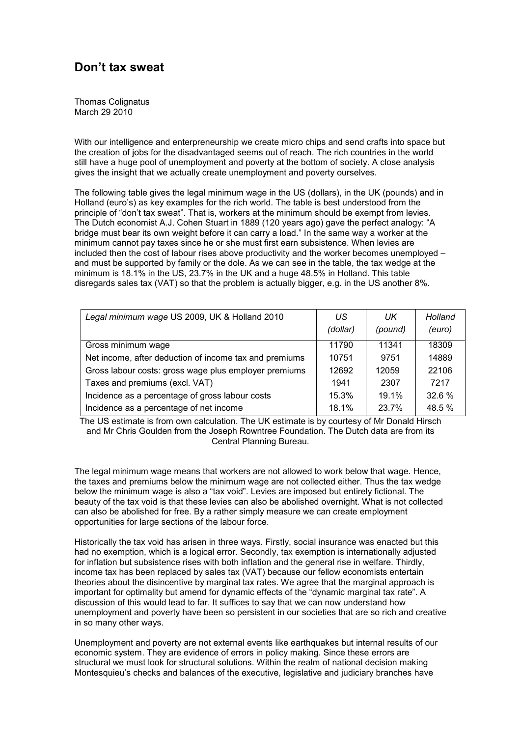## **Don't tax sweat**

Thomas Colignatus March 29 2010

With our intelligence and enterpreneurship we create micro chips and send crafts into space but the creation of jobs for the disadvantaged seems out of reach. The rich countries in the world still have a huge pool of unemployment and poverty at the bottom of society. A close analysis gives the insight that we actually create unemployment and poverty ourselves.

The following table gives the legal minimum wage in the US (dollars), in the UK (pounds) and in Holland (euro's) as key examples for the rich world. The table is best understood from the principle of "don't tax sweat". That is, workers at the minimum should be exempt from levies. The Dutch economist A.J. Cohen Stuart in 1889 (120 years ago) gave the perfect analogy: "A bridge must bear its own weight before it can carry a load." In the same way a worker at the minimum cannot pay taxes since he or she must first earn subsistence. When levies are included then the cost of labour rises above productivity and the worker becomes unemployed – and must be supported by family or the dole. As we can see in the table, the tax wedge at the minimum is 18.1% in the US, 23.7% in the UK and a huge 48.5% in Holland. This table disregards sales tax (VAT) so that the problem is actually bigger, e.g. in the US another 8%.

| Legal minimum wage US 2009, UK & Holland 2010          | US<br>(dollar) | UK<br>(pound) | Holland<br>(euro) |
|--------------------------------------------------------|----------------|---------------|-------------------|
| Gross minimum wage                                     | 11790          | 11341         | 18309             |
| Net income, after deduction of income tax and premiums | 10751          | 9751          | 14889             |
| Gross labour costs: gross wage plus employer premiums  | 12692          | 12059         | 22106             |
| Taxes and premiums (excl. VAT)                         | 1941           | 2307          | 7217              |
| Incidence as a percentage of gross labour costs        | 15.3%          | 19.1%         | 32.6 %            |
| Incidence as a percentage of net income                | 18.1%          | 23.7%         | 48.5 %            |

The US estimate is from own calculation. The UK estimate is by courtesy of Mr Donald Hirsch and Mr Chris Goulden from the Joseph Rowntree Foundation. The Dutch data are from its Central Planning Bureau.

The legal minimum wage means that workers are not allowed to work below that wage. Hence, the taxes and premiums below the minimum wage are not collected either. Thus the tax wedge below the minimum wage is also a "tax void". Levies are imposed but entirely fictional. The beauty of the tax void is that these levies can also be abolished overnight. What is not collected can also be abolished for free. By a rather simply measure we can create employment opportunities for large sections of the labour force.

Historically the tax void has arisen in three ways. Firstly, social insurance was enacted but this had no exemption, which is a logical error. Secondly, tax exemption is internationally adjusted for inflation but subsistence rises with both inflation and the general rise in welfare. Thirdly, income tax has been replaced by sales tax (VAT) because our fellow economists entertain theories about the disincentive by marginal tax rates. We agree that the marginal approach is important for optimality but amend for dynamic effects of the "dynamic marginal tax rate". A discussion of this would lead to far. It suffices to say that we can now understand how unemployment and poverty have been so persistent in our societies that are so rich and creative in so many other ways.

Unemployment and poverty are not external events like earthquakes but internal results of our economic system. They are evidence of errors in policy making. Since these errors are structural we must look for structural solutions. Within the realm of national decision making Montesquieu's checks and balances of the executive, legislative and judiciary branches have